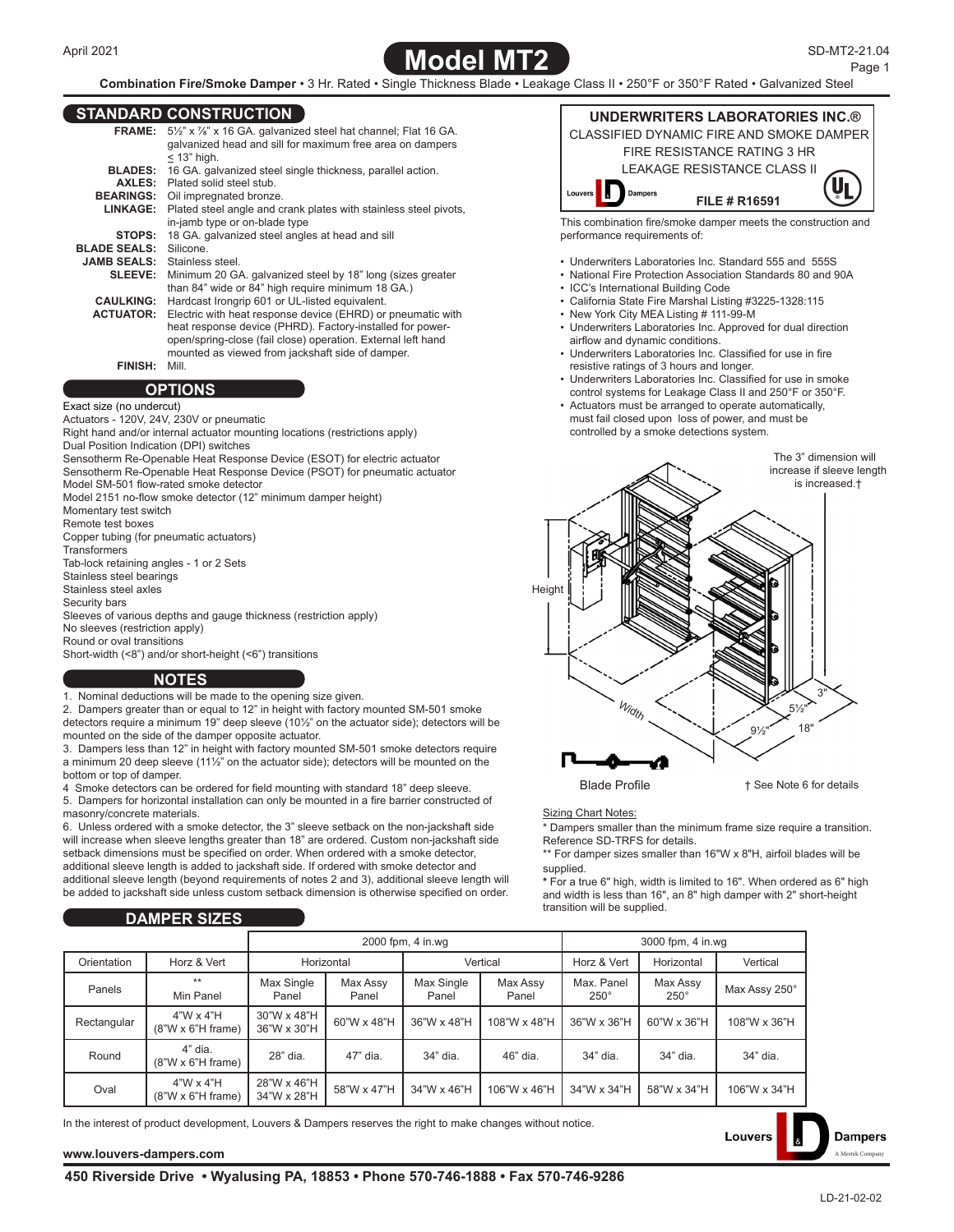

**Combination Fire/Smoke Damper** • 3 Hr. Rated • Single Thickness Blade • Leakage Class II • 250°F or 350°F Rated • Galvanized Steel

## **STANDARD CONSTRUCTION**

|                                     | <b>FRAME:</b> 5 <sup>1/2"</sup> x <sup>7</sup> / <sub>8</sub> " x 16 GA. galvanized steel hat channel; Flat 16 GA. |
|-------------------------------------|--------------------------------------------------------------------------------------------------------------------|
|                                     | galvanized head and sill for maximum free area on dampers                                                          |
|                                     | $<$ 13" high.                                                                                                      |
|                                     | <b>BLADES:</b> 16 GA. galvanized steel single thickness, parallel action.                                          |
|                                     | <b>AXLES:</b> Plated solid steel stub.                                                                             |
|                                     | <b>BEARINGS:</b> Oil impregnated bronze.                                                                           |
| <b>LINKAGE:</b>                     | Plated steel angle and crank plates with stainless steel pivots,                                                   |
|                                     | in-jamb type or on-blade type                                                                                      |
|                                     | <b>STOPS:</b> 18 GA. galvanized steel angles at head and sill                                                      |
| <b>BLADE SEALS:</b> Silicone.       |                                                                                                                    |
| <b>JAMB SEALS:</b> Stainless steel. |                                                                                                                    |
|                                     | <b>SLEEVE:</b> Minimum 20 GA. galvanized steel by 18" long (sizes greater                                          |
|                                     | than 84" wide or 84" high require minimum 18 GA.)                                                                  |
| <b>CAULKING:</b>                    | Hardcast Irongrip 601 or UL-listed equivalent.                                                                     |
| <b>ACTUATOR:</b>                    | Electric with heat response device (EHRD) or pneumatic with                                                        |
|                                     | heat response device (PHRD). Factory-installed for power-                                                          |
|                                     | open/spring-close (fail close) operation. External left hand                                                       |
|                                     | mounted as viewed from jackshaft side of damper.                                                                   |
| <b>FINISH:</b>                      | Mill.                                                                                                              |
|                                     | ______                                                                                                             |

## **OPTIONS**

#### Exact size (no undercut)

Actuators - 120V, 24V, 230V or pneumatic

Right hand and/or internal actuator mounting locations (restrictions apply) Dual Position Indication (DPI) switches

Sensotherm Re-Openable Heat Response Device (ESOT) for electric actuator Sensotherm Re-Openable Heat Response Device (PSOT) for pneumatic actuator

Model SM-501 flow-rated smoke detector Model 2151 no-flow smoke detector (12" minimum damper height)

Momentary test switch

Remote test boxes

Copper tubing (for pneumatic actuators)

**Transformers** 

Tab-lock retaining angles - 1 or 2 Sets

Stainless steel bearings

Stainless steel axles

Security bars

Sleeves of various depths and gauge thickness (restriction apply)

No sleeves (restriction apply)

Round or oval transitions

Short-width (<8") and/or short-height (<6") transitions

### **NOTES**

1. Nominal deductions will be made to the opening size given.

2. Dampers greater than or equal to 12" in height with factory mounted SM-501 smoke detectors require a minimum 19" deep sleeve (10½" on the actuator side); detectors will be mounted on the side of the damper opposite actuator.

3. Dampers less than 12" in height with factory mounted SM-501 smoke detectors require a minimum 20 deep sleeve (11½" on the actuator side); detectors will be mounted on the bottom or top of damper.

4 Smoke detectors can be ordered for field mounting with standard 18" deep sleeve.

5. Dampers for horizontal installation can only be mounted in a fire barrier constructed of masonry/concrete materials.

6. Unless ordered with a smoke detector, the 3" sleeve setback on the non-jackshaft side will increase when sleeve lengths greater than 18" are ordered. Custom non-jackshaft side setback dimensions must be specified on order. When ordered with a smoke detector, additional sleeve length is added to jackshaft side. If ordered with smoke detector and additional sleeve length (beyond requirements of notes 2 and 3), additional sleeve length will be added to jackshaft side unless custom setback dimension is otherwise specified on order.

# **DAMPER SIZES**

**UNDERWRITERS LABORATORIES INC.®** CLASSIFIED DYNAMIC FIRE AND SMOKE DAMPER FIRE RESISTANCE RATING 3 HR LEAKAGE RESISTANCE CLASS II **Dampers FILE # R16591** This combination fire/smoke damper meets the construction and performance requirements of:

- Underwriters Laboratories Inc. Standard 555 and 555S
- National Fire Protection Association Standards 80 and 90A
- ICC's International Building Code
- California State Fire Marshal Listing #3225-1328:115
- New York City MEA Listing # 111-99-M
- Underwriters Laboratories Inc. Approved for dual direction airflow and dynamic conditions.
- Underwriters Laboratories Inc. Classified for use in fire resistive ratings of 3 hours and longer.
- Underwriters Laboratories Inc. Classified for use in smoke control systems for Leakage Class II and 250°F or 350°F.
- Actuators must be arranged to operate automatically, must fail closed upon loss of power, and must be controlled by a smoke detections system.



#### **Sizing Chart Notes:**

\* Dampers smaller than the minimum frame size require a transition. Reference SD-TRFS for details.

\*\* For damper sizes smaller than 16"W x 8"H, airfoil blades will be supplied.

**\*** For a true 6" high, width is limited to 16". When ordered as 6" high and width is less than 16", an 8" high damper with 2" short-height transition will be supplied.

**Louvers** 

|             |                                              | 2000 fpm, 4 in.wg          |                   |                     |                   | 3000 fpm, 4 in.wg         |                         |               |  |
|-------------|----------------------------------------------|----------------------------|-------------------|---------------------|-------------------|---------------------------|-------------------------|---------------|--|
| Orientation | Horz & Vert                                  | Horizontal                 |                   | Vertical            |                   | Horz & Vert               | Horizontal              | Vertical      |  |
| Panels      | $**$<br>Min Panel                            | Max Single<br>Panel        | Max Assy<br>Panel | Max Single<br>Panel | Max Assy<br>Panel | Max. Panel<br>$250^\circ$ | Max Assy<br>$250^\circ$ | Max Assy 250° |  |
| Rectangular | $4"W \times 4"H$<br>$(8"W \times 6"H frame)$ | 30"W x 48"H<br>36"W x 30"H | 60"W x 48"H       | 36"W x 48"H         | 108"W x 48"H      | 36"W x 36"H               | 60"W x 36"H             | 108"W x 36"H  |  |
| Round       | 4" dia.<br>$(8"W \times 6"H frame)$          | 28" dia.                   | 47" dia.          | 34" dia.            | 46" dia.          | 34" dia.                  | 34" dia.                | 34" dia.      |  |
| Oval        | $4"W \times 4"H$<br>$(8"W \times 6"H frame)$ | 28"W x 46"H<br>34"W x 28"H | 58"W x 47"H       | 34"W x 46"H         | 106"W x 46"H      | 34"W x 34"H               | 58"W x 34"H             | 106"W x 34"H  |  |

In the interest of product development, Louvers & Dampers reserves the right to make changes without notice.

**[www.louvers-dampers.com](http://louvers-dampers.com)** [A Mestek Company](http://louvers-dampers.com) A Mestek Company and a Mestek Company and a Mestek Company and a Mestek Comp

**Dampers**